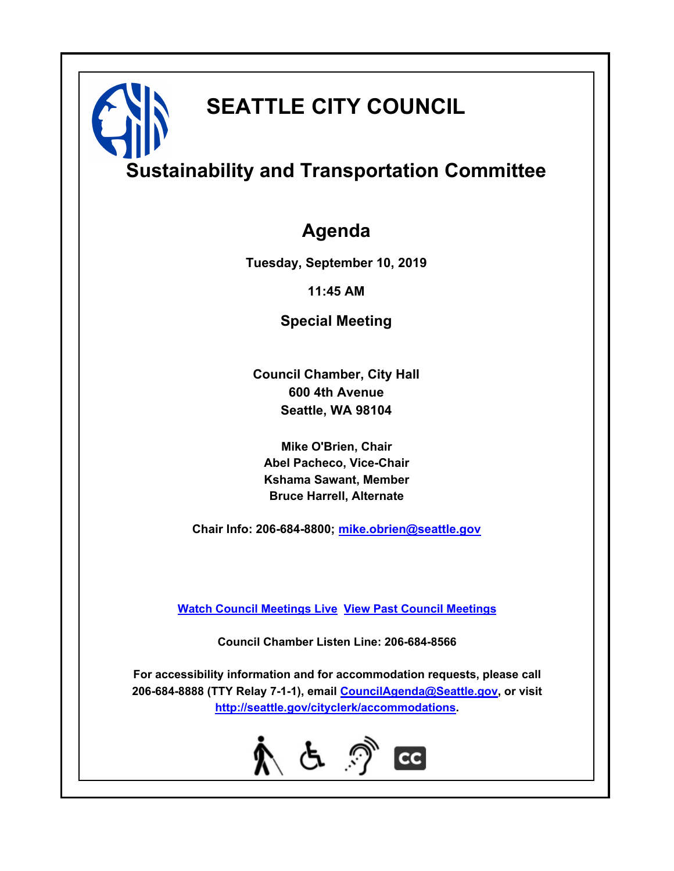# **SEATTLE CITY COUNCIL**

## **Sustainability and Transportation Committee**

### **Agenda**

**Tuesday, September 10, 2019**

**11:45 AM**

**Special Meeting**

**Council Chamber, City Hall 600 4th Avenue Seattle, WA 98104**

**Mike O'Brien, Chair Abel Pacheco, Vice-Chair Kshama Sawant, Member Bruce Harrell, Alternate**

**Chair Info: 206-684-8800; [mike.obrien@seattle.gov](mailto:mike.obrien@seattle.gov)**

**[Watch Council Meetings Live](http://www.seattle.gov/council/councillive.htm) [View Past Council Meetings](http://www.seattlechannel.org/videos/browseVideos.asp?topic=council)**

**Council Chamber Listen Line: 206-684-8566**

**For accessibility information and for accommodation requests, please call 206-684-8888 (TTY Relay 7-1-1), email [CouncilAgenda@Seattle.gov](mailto:CouncilAgenda@Seattle.gov), or visit <http://seattle.gov/cityclerk/accommodations>.**

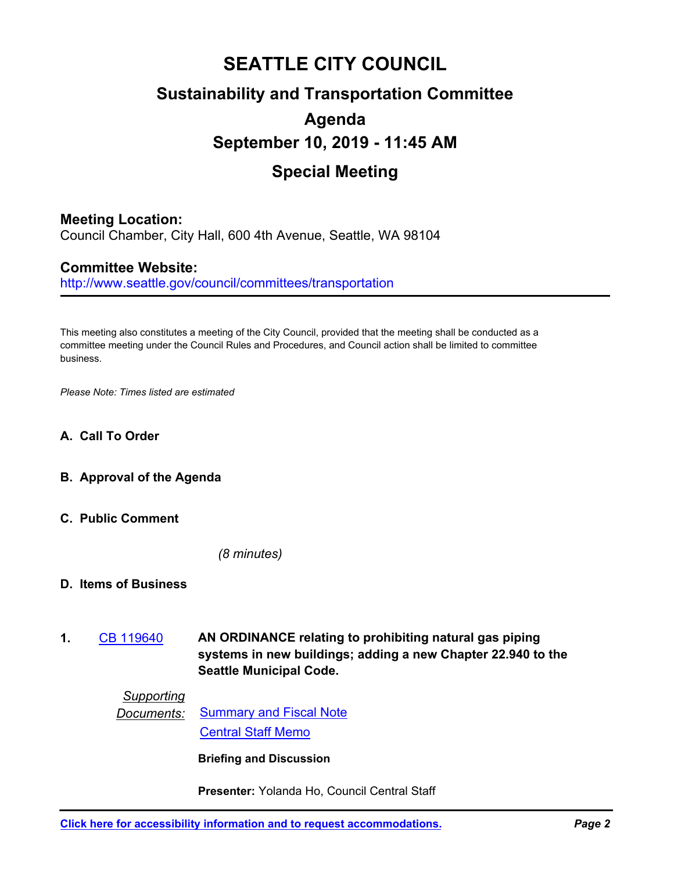### **SEATTLE CITY COUNCIL Sustainability and Transportation Committee Agenda September 10, 2019 - 11:45 AM Special Meeting**

#### **Meeting Location:**

Council Chamber, City Hall, 600 4th Avenue, Seattle, WA 98104

#### **Committee Website:**

http://www.seattle.gov/council/committees/transportation

This meeting also constitutes a meeting of the City Council, provided that the meeting shall be conducted as a committee meeting under the Council Rules and Procedures, and Council action shall be limited to committee business.

*Please Note: Times listed are estimated*

- **A. Call To Order**
- **B. Approval of the Agenda**
- **C. Public Comment**

*(8 minutes)*

- **D. Items of Business**
- **AN ORDINANCE relating to prohibiting natural gas piping systems in new buildings; adding a new Chapter 22.940 to the Seattle Municipal Code. 1.** [CB 119640](http://seattle.legistar.com/gateway.aspx?m=l&id=/matter.aspx?key=9066)

*Supporting*

**Documents:** [Summary and Fiscal Note](http://seattle.legistar.com/gateway.aspx?M=F&ID=2ca573b5-0a4d-4d67-b281-142f5f9443c2.docx) [Central Staff Memo](http://seattle.legistar.com/gateway.aspx?M=F&ID=b32d39ca-a96e-4077-9f56-47a8a4fd9bcb.pdf)

**Briefing and Discussion**

**Presenter:** Yolanda Ho, Council Central Staff